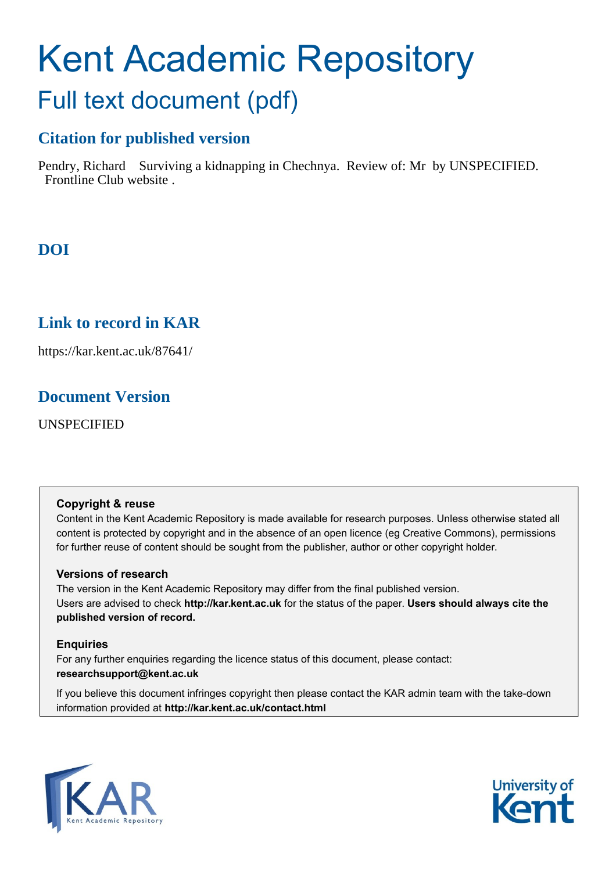# Kent Academic Repository Full text document (pdf)

## **Citation for published version**

Pendry, Richard Surviving a kidnapping in Chechnya. Review of: Mr by UNSPECIFIED. Frontline Club website .

## **DOI**

### **Link to record in KAR**

https://kar.kent.ac.uk/87641/

### **Document Version**

UNSPECIFIED

#### **Copyright & reuse**

Content in the Kent Academic Repository is made available for research purposes. Unless otherwise stated all content is protected by copyright and in the absence of an open licence (eg Creative Commons), permissions for further reuse of content should be sought from the publisher, author or other copyright holder.

#### **Versions of research**

The version in the Kent Academic Repository may differ from the final published version. Users are advised to check **http://kar.kent.ac.uk** for the status of the paper. **Users should always cite the published version of record.**

#### **Enquiries**

For any further enquiries regarding the licence status of this document, please contact: **researchsupport@kent.ac.uk**

If you believe this document infringes copyright then please contact the KAR admin team with the take-down information provided at **http://kar.kent.ac.uk/contact.html**



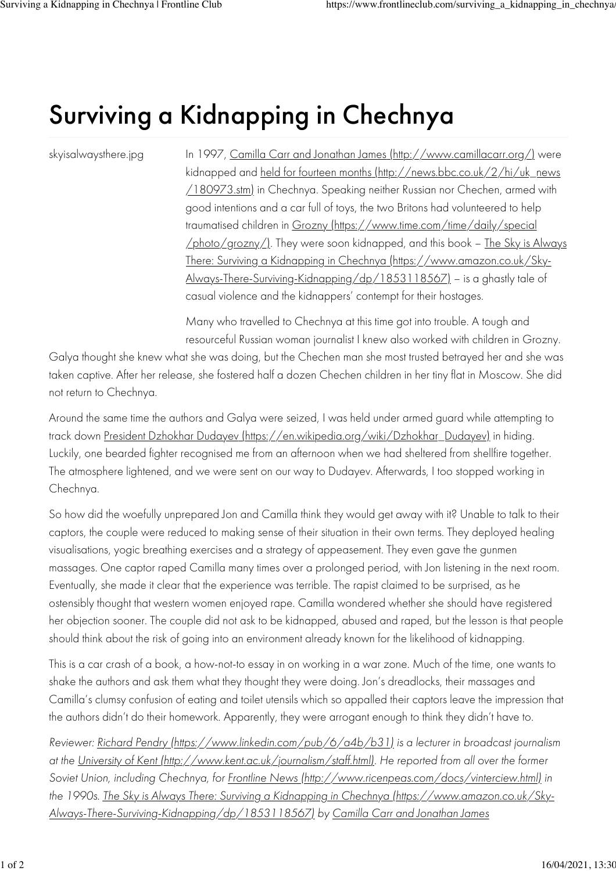## Surviving a Kidnapping in Chechnya

skyisalwaysthere.jpg

In 1997, Camilla Carr and Jonathan James (http://www.camillacarr.org/) were kidnapped and held for fourteen months (http://news.bbc.co.uk/2/hi/uk\_news /180973.stm) in Chechnya. Speaking neither Russian nor Chechen, armed with good intentions and a car full of toys, the two Britons had volunteered to help traumatised children in Grozny (https://www.time.com/time/daily/special /photo/grozny/). They were soon kidnapped, and this book – The Sky is Always There: Surviving a Kidnapping in Chechnya (https://www.amazon.co.uk/Sky-Always-There-Surviving-Kidnapping/dp/1853118567) – is a ghastly tale of casual violence and the kidnappers' contempt for their hostages.

Many who travelled to Chechnya at this time got into trouble. A tough and resourceful Russian woman journalist I knew also worked with children in Grozny.

Galya thought she knew what she was doing, but the Chechen man she most trusted betrayed her and she was taken captive. After her release, she fostered half a dozen Chechen children in her tiny flat in Moscow. She did not return to Chechnya.

Around the same time the authors and Galya were seized, I was held under armed guard while attempting to track down President Dzhokhar Dudayev (https://en.wikipedia.org/wiki/Dzhokhar\_Dudayev) in hiding. Luckily, one bearded fighter recognised me from an afternoon when we had sheltered from shellfire together. The atmosphere lightened, and we were sent on our way to Dudayev. Afterwards, I too stopped working in Chechnya.

So how did the woefully unprepared Jon and Camilla think they would get away with it? Unable to talk to their captors, the couple were reduced to making sense of their situation in their own terms. They deployed healing visualisations, yogic breathing exercises and a strategy of appeasement. They even gave the gunmen massages. One captor raped Camilla many times over a prolonged period, with Jon listening in the next room. Eventually, she made it clear that the experience was terrible. The rapist claimed to be surprised, as he ostensibly thought that western women enjoyed rape. Camilla wondered whether she should have registered her objection sooner. The couple did not ask to be kidnapped, abused and raped, but the lesson is that people should think about the risk of going into an environment already known for the likelihood of kidnapping.

This is a car crash of a book, a how-not-to essay in on working in a war zone. Much of the time, one wants to shake the authors and ask them what they thought they were doing. Jon's dreadlocks, their massages and Camilla's clumsy confusion of eating and toilet utensils which so appalled their captors leave the impression that the authors didn't do their homework. Apparently, they were arrogant enough to think they didn't have to.

*Reviewer: Richard Pendry (https://www.linkedin.com/pub/6/a4b/b31) is a lecturer in broadcast journalism at the University of Kent (http://www.kent.ac.uk/journalism/staff.html). He reported from all over the former Soviet Union, including Chechnya, for Frontline News (http://www.ricenpeas.com/docs/vinterciew.html) in the 1990s. The Sky is Always There: Surviving a Kidnapping in Chechnya (https://www.amazon.co.uk/Sky-Always-There-Surviving-Kidnapping/dp/1853118567) by Camilla Carr and Jonathan James*